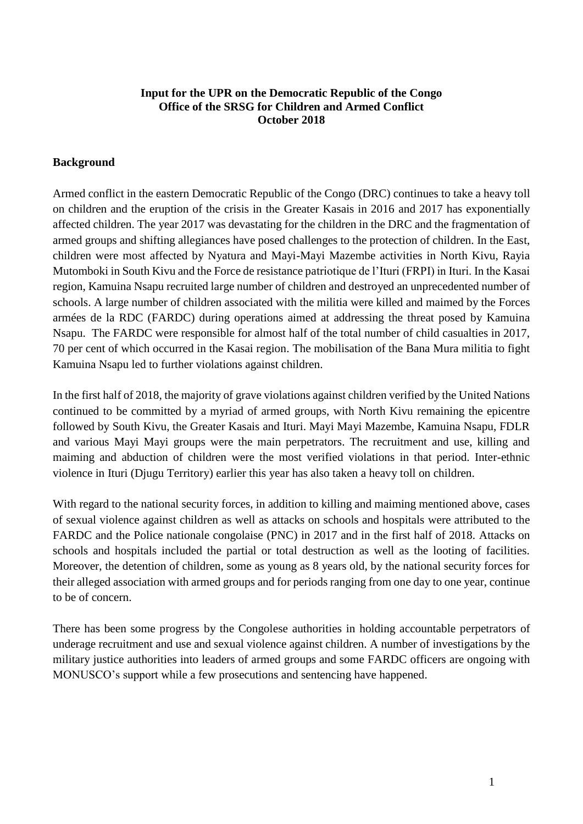## **Input for the UPR on the Democratic Republic of the Congo Office of the SRSG for Children and Armed Conflict October 2018**

## **Background**

Armed conflict in the eastern Democratic Republic of the Congo (DRC) continues to take a heavy toll on children and the eruption of the crisis in the Greater Kasais in 2016 and 2017 has exponentially affected children. The year 2017 was devastating for the children in the DRC and the fragmentation of armed groups and shifting allegiances have posed challenges to the protection of children. In the East, children were most affected by Nyatura and Mayi-Mayi Mazembe activities in North Kivu, Rayia Mutomboki in South Kivu and the Force de resistance patriotique de l'Ituri (FRPI) in Ituri. In the Kasai region, Kamuina Nsapu recruited large number of children and destroyed an unprecedented number of schools. A large number of children associated with the militia were killed and maimed by the Forces armées de la RDC (FARDC) during operations aimed at addressing the threat posed by Kamuina Nsapu. The FARDC were responsible for almost half of the total number of child casualties in 2017, 70 per cent of which occurred in the Kasai region. The mobilisation of the Bana Mura militia to fight Kamuina Nsapu led to further violations against children.

In the first half of 2018, the majority of grave violations against children verified by the United Nations continued to be committed by a myriad of armed groups, with North Kivu remaining the epicentre followed by South Kivu, the Greater Kasais and Ituri. Mayi Mayi Mazembe, Kamuina Nsapu, FDLR and various Mayi Mayi groups were the main perpetrators. The recruitment and use, killing and maiming and abduction of children were the most verified violations in that period. Inter-ethnic violence in Ituri (Djugu Territory) earlier this year has also taken a heavy toll on children.

With regard to the national security forces, in addition to killing and maiming mentioned above, cases of sexual violence against children as well as attacks on schools and hospitals were attributed to the FARDC and the Police nationale congolaise (PNC) in 2017 and in the first half of 2018. Attacks on schools and hospitals included the partial or total destruction as well as the looting of facilities. Moreover, the detention of children, some as young as 8 years old, by the national security forces for their alleged association with armed groups and for periods ranging from one day to one year, continue to be of concern.

There has been some progress by the Congolese authorities in holding accountable perpetrators of underage recruitment and use and sexual violence against children. A number of investigations by the military justice authorities into leaders of armed groups and some FARDC officers are ongoing with MONUSCO's support while a few prosecutions and sentencing have happened.